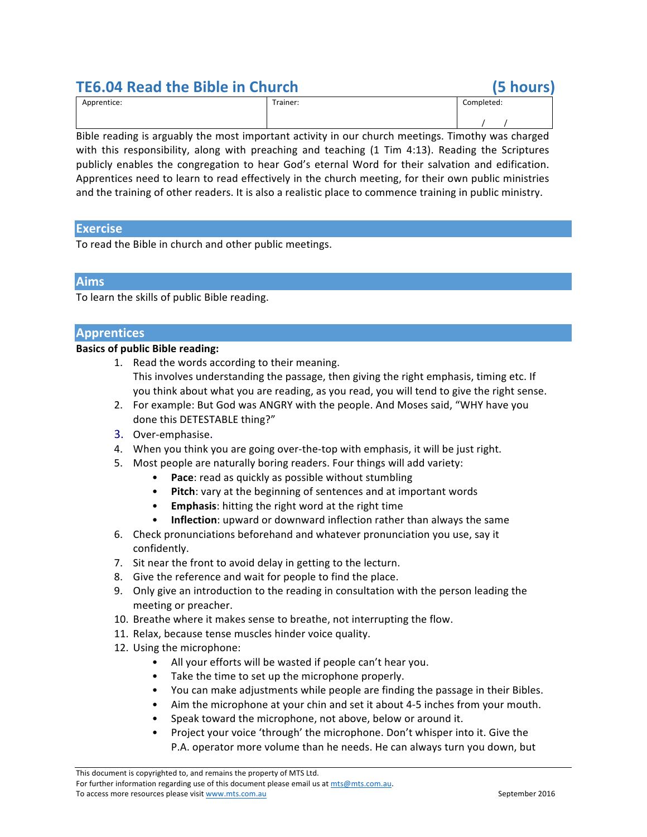# **TE6.04 Read the Bible in Church (5 hours)**

| Apprentice: | Trainer: | Completed: |
|-------------|----------|------------|
|             |          |            |

Bible reading is arguably the most important activity in our church meetings. Timothy was charged with this responsibility, along with preaching and teaching  $(1$  Tim  $4:13)$ . Reading the Scriptures publicly enables the congregation to hear God's eternal Word for their salvation and edification. Apprentices need to learn to read effectively in the church meeting, for their own public ministries and the training of other readers. It is also a realistic place to commence training in public ministry.

# **Exercise**

To read the Bible in church and other public meetings.

## **Aims**

To learn the skills of public Bible reading.

## **Apprentices**

## **Basics of public Bible reading:**

- 1. Read the words according to their meaning. This involves understanding the passage, then giving the right emphasis, timing etc. If
- you think about what you are reading, as you read, you will tend to give the right sense. 2. For example: But God was ANGRY with the people. And Moses said, "WHY have you done this DETESTABLE thing?"
- 3. Over-emphasise.
- 4. When you think you are going over-the-top with emphasis, it will be just right.
- 5. Most people are naturally boring readers. Four things will add variety:
	- **Pace:** read as quickly as possible without stumbling
	- Pitch: vary at the beginning of sentences and at important words
	- **Emphasis:** hitting the right word at the right time
	- **Inflection**: upward or downward inflection rather than always the same
- 6. Check pronunciations beforehand and whatever pronunciation you use, say it confidently.
- 7. Sit near the front to avoid delay in getting to the lecturn.
- 8. Give the reference and wait for people to find the place.
- 9. Only give an introduction to the reading in consultation with the person leading the meeting or preacher.
- 10. Breathe where it makes sense to breathe, not interrupting the flow.
- 11. Relax, because tense muscles hinder voice quality.
- 12. Using the microphone:
	- All your efforts will be wasted if people can't hear you.
	- Take the time to set up the microphone properly.
	- You can make adjustments while people are finding the passage in their Bibles.
	- Aim the microphone at your chin and set it about 4-5 inches from your mouth.
	- Speak toward the microphone, not above, below or around it.
	- Project your voice 'through' the microphone. Don't whisper into it. Give the P.A. operator more volume than he needs. He can always turn you down, but